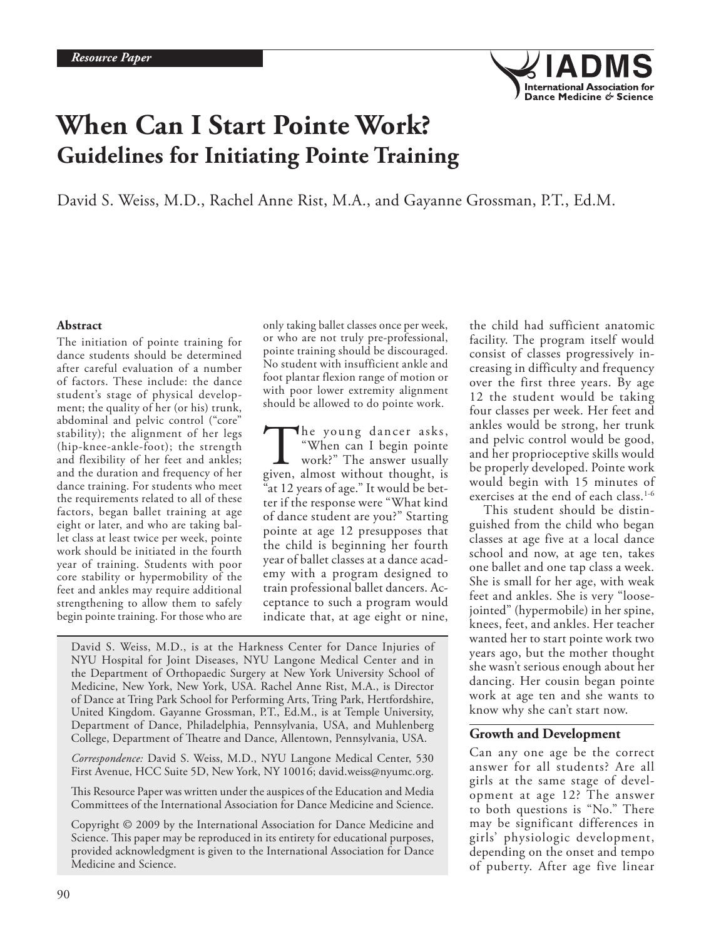

# **When Can I Start Pointe Work? Guidelines for Initiating Pointe Training**

David S. Weiss, M.D., Rachel Anne Rist, M.A., and Gayanne Grossman, P.T., Ed.M.

### **Abstract**

The initiation of pointe training for dance students should be determined after careful evaluation of a number of factors. These include: the dance student's stage of physical development; the quality of her (or his) trunk, abdominal and pelvic control ("core" stability); the alignment of her legs (hip-knee-ankle-foot); the strength and flexibility of her feet and ankles; and the duration and frequency of her dance training. For students who meet the requirements related to all of these factors, began ballet training at age eight or later, and who are taking ballet class at least twice per week, pointe work should be initiated in the fourth year of training. Students with poor core stability or hypermobility of the feet and ankles may require additional strengthening to allow them to safely begin pointe training. For those who are

only taking ballet classes once per week, or who are not truly pre-professional, pointe training should be discouraged. No student with insufficient ankle and foot plantar flexion range of motion or with poor lower extremity alignment should be allowed to do pointe work.

The young dancer asks,<br>
"When can I begin pointe<br>
work?" The answer usually<br>
given, almost without thought, is "When can I begin pointe work?" The answer usually "at 12 years of age." It would be better if the response were "What kind of dance student are you?" Starting pointe at age 12 presupposes that the child is beginning her fourth year of ballet classes at a dance academy with a program designed to train professional ballet dancers. Acceptance to such a program would indicate that, at age eight or nine,

David S. Weiss, M.D., is at the Harkness Center for Dance Injuries of NYU Hospital for Joint Diseases, NYU Langone Medical Center and in the Department of Orthopaedic Surgery at New York University School of Medicine, New York, New York, USA. Rachel Anne Rist, M.A., is Director of Dance at Tring Park School for Performing Arts, Tring Park, Hertfordshire, United Kingdom. Gayanne Grossman, P.T., Ed.M., is at Temple University, Department of Dance, Philadelphia, Pennsylvania, USA, and Muhlenberg College, Department of Theatre and Dance, Allentown, Pennsylvania, USA.

*Correspondence:* David S. Weiss, M.D., NYU Langone Medical Center, 530 First Avenue, HCC Suite 5D, New York, NY 10016; david.weiss@nyumc.org.

This Resource Paper was written under the auspices of the Education and Media Committees of the International Association for Dance Medicine and Science.

Copyright © 2009 by the International Association for Dance Medicine and Science. This paper may be reproduced in its entirety for educational purposes, provided acknowledgment is given to the International Association for Dance Medicine and Science.

the child had sufficient anatomic facility. The program itself would consist of classes progressively increasing in difficulty and frequency over the first three years. By age 12 the student would be taking four classes per week. Her feet and ankles would be strong, her trunk and pelvic control would be good, and her proprioceptive skills would be properly developed. Pointe work would begin with 15 minutes of exercises at the end of each class.<sup>1-6</sup>

This student should be distinguished from the child who began classes at age five at a local dance school and now, at age ten, takes one ballet and one tap class a week. She is small for her age, with weak feet and ankles. She is very "loosejointed" (hypermobile) in her spine, knees, feet, and ankles. Her teacher wanted her to start pointe work two years ago, but the mother thought she wasn't serious enough about her dancing. Her cousin began pointe work at age ten and she wants to know why she can't start now.

## **Growth and Development**

Can any one age be the correct answer for all students? Are all girls at the same stage of development at age 12? The answer to both questions is "No." There may be significant differences in girls' physiologic development, depending on the onset and tempo of puberty. After age five linear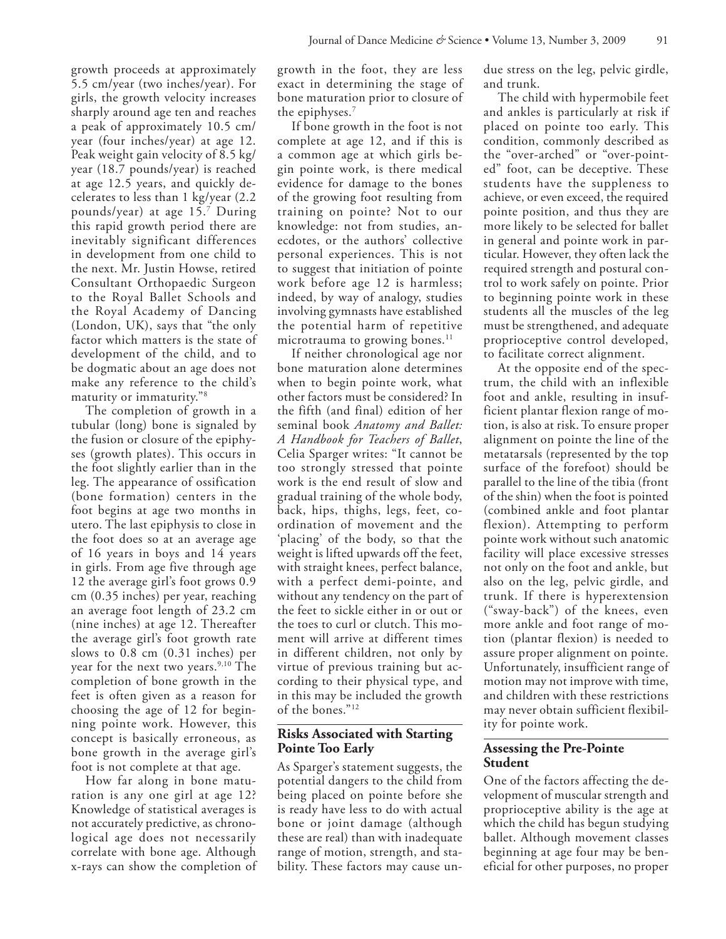growth proceeds at approximately 5.5 cm/year (two inches/year). For girls, the growth velocity increases sharply around age ten and reaches a peak of approximately 10.5 cm/ year (four inches/year) at age 12. Peak weight gain velocity of 8.5 kg/ year (18.7 pounds/year) is reached at age 12.5 years, and quickly decelerates to less than 1 kg/year (2.2 pounds/year) at age 15.7 During this rapid growth period there are inevitably significant differences in development from one child to the next. Mr. Justin Howse, retired Consultant Orthopaedic Surgeon to the Royal Ballet Schools and the Royal Academy of Dancing (London, UK), says that "the only factor which matters is the state of development of the child, and to be dogmatic about an age does not make any reference to the child's maturity or immaturity."8

The completion of growth in a tubular (long) bone is signaled by the fusion or closure of the epiphyses (growth plates). This occurs in the foot slightly earlier than in the leg. The appearance of ossification (bone formation) centers in the foot begins at age two months in utero. The last epiphysis to close in the foot does so at an average age of 16 years in boys and 14 years in girls. From age five through age 12 the average girl's foot grows 0.9 cm (0.35 inches) per year, reaching an average foot length of 23.2 cm (nine inches) at age 12. Thereafter the average girl's foot growth rate slows to 0.8 cm (0.31 inches) per year for the next two years.<sup>9,10</sup> The completion of bone growth in the feet is often given as a reason for choosing the age of 12 for beginning pointe work. However, this concept is basically erroneous, as bone growth in the average girl's foot is not complete at that age.

How far along in bone maturation is any one girl at age 12? Knowledge of statistical averages is not accurately predictive, as chronological age does not necessarily correlate with bone age. Although x-rays can show the completion of growth in the foot, they are less exact in determining the stage of bone maturation prior to closure of the epiphyses.7

If bone growth in the foot is not complete at age 12, and if this is a common age at which girls begin pointe work, is there medical evidence for damage to the bones of the growing foot resulting from training on pointe? Not to our knowledge: not from studies, anecdotes, or the authors' collective personal experiences. This is not to suggest that initiation of pointe work before age 12 is harmless; indeed, by way of analogy, studies involving gymnasts have established the potential harm of repetitive microtrauma to growing bones.<sup>11</sup>

If neither chronological age nor bone maturation alone determines when to begin pointe work, what other factors must be considered? In the fifth (and final) edition of her seminal book *Anatomy and Ballet: A Handbook for Teachers of Ballet*, Celia Sparger writes: "It cannot be too strongly stressed that pointe work is the end result of slow and gradual training of the whole body, back, hips, thighs, legs, feet, coordination of movement and the 'placing' of the body, so that the weight is lifted upwards off the feet, with straight knees, perfect balance, with a perfect demi-pointe, and without any tendency on the part of the feet to sickle either in or out or the toes to curl or clutch. This moment will arrive at different times in different children, not only by virtue of previous training but according to their physical type, and in this may be included the growth of the bones."12

# **Risks Associated with Starting Pointe Too Early**

As Sparger's statement suggests, the potential dangers to the child from being placed on pointe before she is ready have less to do with actual bone or joint damage (although these are real) than with inadequate range of motion, strength, and stability. These factors may cause undue stress on the leg, pelvic girdle, and trunk.

The child with hypermobile feet and ankles is particularly at risk if placed on pointe too early. This condition, commonly described as the "over-arched" or "over-pointed" foot, can be deceptive. These students have the suppleness to achieve, or even exceed, the required pointe position, and thus they are more likely to be selected for ballet in general and pointe work in particular. However, they often lack the required strength and postural control to work safely on pointe. Prior to beginning pointe work in these students all the muscles of the leg must be strengthened, and adequate proprioceptive control developed, to facilitate correct alignment.

At the opposite end of the spectrum, the child with an inflexible foot and ankle, resulting in insufficient plantar flexion range of motion, is also at risk. To ensure proper alignment on pointe the line of the metatarsals (represented by the top surface of the forefoot) should be parallel to the line of the tibia (front of the shin) when the foot is pointed (combined ankle and foot plantar flexion). Attempting to perform pointe work without such anatomic facility will place excessive stresses not only on the foot and ankle, but also on the leg, pelvic girdle, and trunk. If there is hyperextension ("sway-back") of the knees, even more ankle and foot range of motion (plantar flexion) is needed to assure proper alignment on pointe. Unfortunately, insufficient range of motion may not improve with time, and children with these restrictions may never obtain sufficient flexibility for pointe work.

## **Assessing the Pre-Pointe Student**

One of the factors affecting the development of muscular strength and proprioceptive ability is the age at which the child has begun studying ballet. Although movement classes beginning at age four may be beneficial for other purposes, no proper